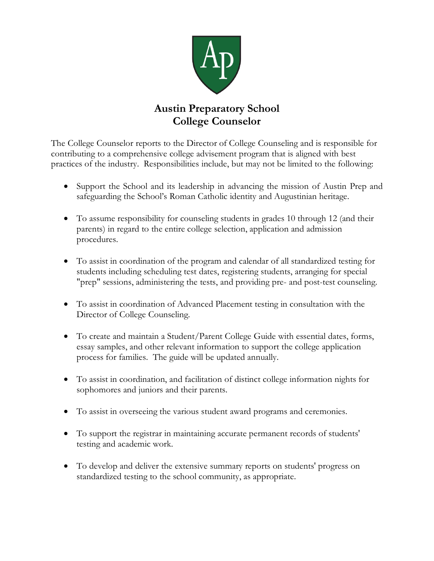

## **Austin Preparatory School College Counselor**

The College Counselor reports to the Director of College Counseling and is responsible for contributing to a comprehensive college advisement program that is aligned with best practices of the industry. Responsibilities include, but may not be limited to the following:

- Support the School and its leadership in advancing the mission of Austin Prep and safeguarding the School's Roman Catholic identity and Augustinian heritage.
- To assume responsibility for counseling students in grades 10 through 12 (and their parents) in regard to the entire college selection, application and admission procedures.
- To assist in coordination of the program and calendar of all standardized testing for students including scheduling test dates, registering students, arranging for special "prep" sessions, administering the tests, and providing pre- and post-test counseling.
- To assist in coordination of Advanced Placement testing in consultation with the Director of College Counseling.
- To create and maintain a Student/Parent College Guide with essential dates, forms, essay samples, and other relevant information to support the college application process for families. The guide will be updated annually.
- To assist in coordination, and facilitation of distinct college information nights for sophomores and juniors and their parents.
- To assist in overseeing the various student award programs and ceremonies.
- To support the registrar in maintaining accurate permanent records of students' testing and academic work.
- To develop and deliver the extensive summary reports on students' progress on standardized testing to the school community, as appropriate.